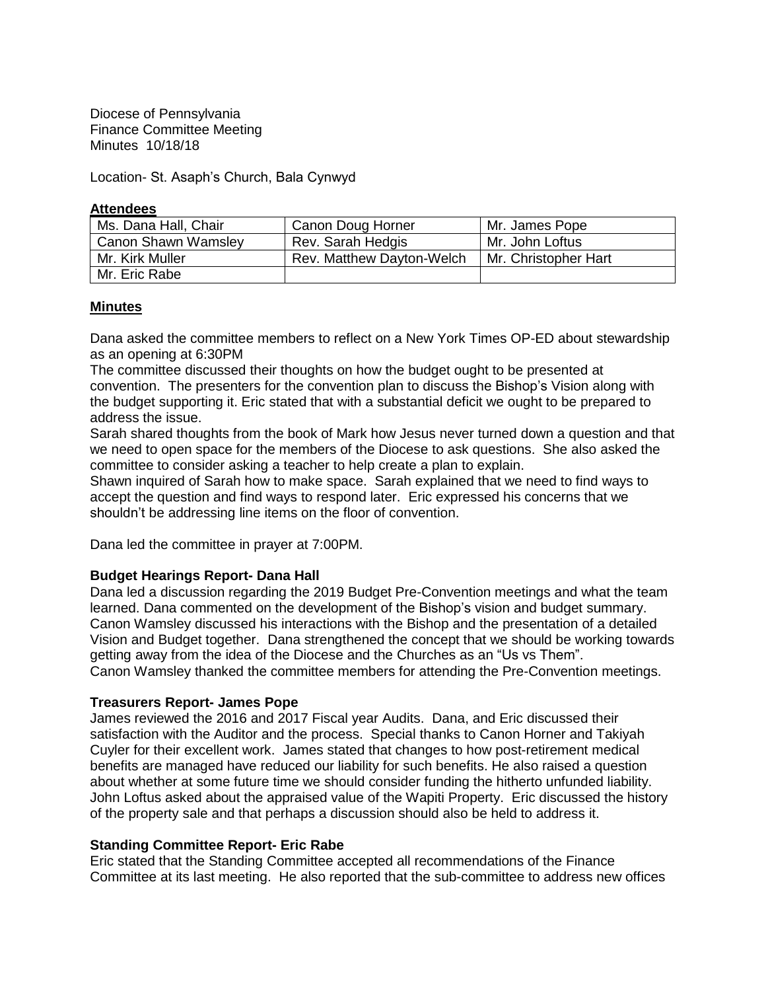Diocese of Pennsylvania Finance Committee Meeting Minutes 10/18/18

Location- St. Asaph's Church, Bala Cynwyd

### **Attendees**

| Ms. Dana Hall, Chair       | Canon Doug Horner         | Mr. James Pope       |
|----------------------------|---------------------------|----------------------|
| <b>Canon Shawn Wamsley</b> | Rev. Sarah Hedgis         | Mr. John Loftus      |
| Mr. Kirk Muller            | Rev. Matthew Dayton-Welch | Mr. Christopher Hart |
| Mr. Eric Rabe              |                           |                      |

## **Minutes**

Dana asked the committee members to reflect on a New York Times OP-ED about stewardship as an opening at 6:30PM

The committee discussed their thoughts on how the budget ought to be presented at convention. The presenters for the convention plan to discuss the Bishop's Vision along with the budget supporting it. Eric stated that with a substantial deficit we ought to be prepared to address the issue.

Sarah shared thoughts from the book of Mark how Jesus never turned down a question and that we need to open space for the members of the Diocese to ask questions. She also asked the committee to consider asking a teacher to help create a plan to explain.

Shawn inquired of Sarah how to make space. Sarah explained that we need to find ways to accept the question and find ways to respond later. Eric expressed his concerns that we shouldn't be addressing line items on the floor of convention.

Dana led the committee in prayer at 7:00PM.

## **Budget Hearings Report- Dana Hall**

Dana led a discussion regarding the 2019 Budget Pre-Convention meetings and what the team learned. Dana commented on the development of the Bishop's vision and budget summary. Canon Wamsley discussed his interactions with the Bishop and the presentation of a detailed Vision and Budget together. Dana strengthened the concept that we should be working towards getting away from the idea of the Diocese and the Churches as an "Us vs Them". Canon Wamsley thanked the committee members for attending the Pre-Convention meetings.

## **Treasurers Report- James Pope**

James reviewed the 2016 and 2017 Fiscal year Audits. Dana, and Eric discussed their satisfaction with the Auditor and the process. Special thanks to Canon Horner and Takiyah Cuyler for their excellent work. James stated that changes to how post-retirement medical benefits are managed have reduced our liability for such benefits. He also raised a question about whether at some future time we should consider funding the hitherto unfunded liability. John Loftus asked about the appraised value of the Wapiti Property. Eric discussed the history of the property sale and that perhaps a discussion should also be held to address it.

## **Standing Committee Report- Eric Rabe**

Eric stated that the Standing Committee accepted all recommendations of the Finance Committee at its last meeting. He also reported that the sub-committee to address new offices